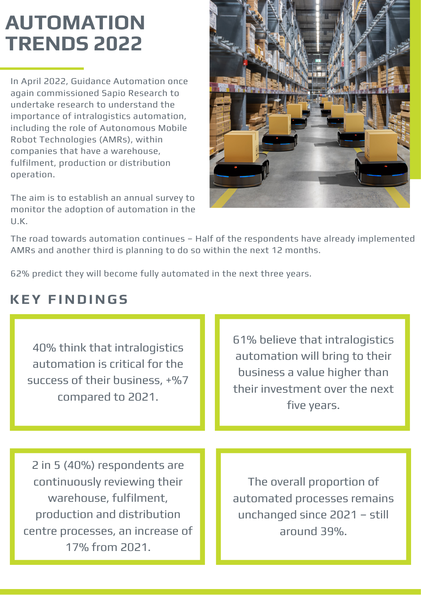### **AUTOMATION TRENDS 2022**

In April 2022, Guidance Automation once again commissioned Sapio Research to undertake research to understand the importance of intralogistics automation, including the role of Autonomous Mobile Robot [Technologies](https://www.guidanceautomation.com/autonomous-mobile-robots-amr/) (AMRs), within companies that have a warehouse, fulfilment, production or distribution operation.

The aim is to establish an annual survey to monitor the adoption of automation in the U.K.



The road towards automation continues – Half of the respondents have already implemented AMRs and another third is planning to do so within the next 12 months.

62% predict they will become fully automated in the next three years.

#### **KEY FIND ING S**

| 40% think that intralogistics<br>automation is critical for the<br>success of their business, +%7<br>compared to 2021.                                                      | 61% believe that intralogistics<br>automation will bring to their<br>business a value higher than<br>their investment over the next<br>five years. |
|-----------------------------------------------------------------------------------------------------------------------------------------------------------------------------|----------------------------------------------------------------------------------------------------------------------------------------------------|
|                                                                                                                                                                             |                                                                                                                                                    |
| 2 in 5 (40%) respondents are<br>continuously reviewing their<br>warehouse, fulfilment,<br>production and distribution<br>centre processes, an increase of<br>17% from 2021. | The overall proportion of<br>automated processes remains<br>unchanged since 2021 - still<br>around 39%.                                            |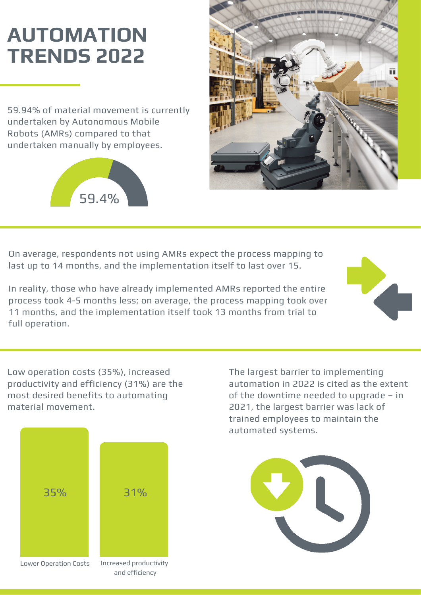# **AUTOMATION TRENDS 2022**

59.94% of material movement is currently undertaken by Autonomous Mobile Robots (AMRs) compared to that undertaken manually by employees.





On average, respondents not using AMRs expect the process mapping to last up to 14 months, and the implementation itself to last over 15.

In reality, those who have already implemented AMRs reported the entire process took 4-5 months less; on average, the process mapping took over 11 months, and the implementation itself took 13 months from trial to full operation.

Low operation costs (35%), increased productivity and efficiency (31%) are the most desired benefits to automating material movement.



The largest barrier to implementing automation in 2022 is cited as the extent of the downtime needed to upgrade – in 2021, the largest barrier was lack of trained employees to maintain the automated systems.